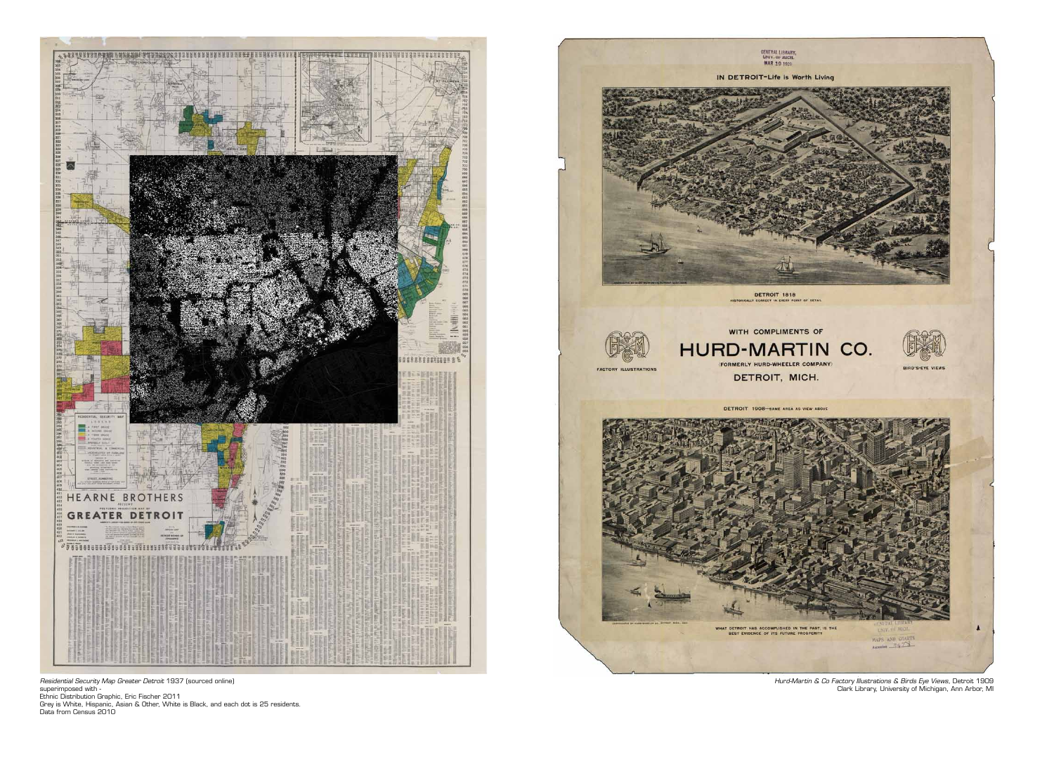

*Residential Security Map Greater Detroit* 1937 (sourced online) superimposed with -

Ethnic Distribution Graphic, Eric Fischer 2011

Grey is White, Hispanic, Asian & Other, White is Black, and each dot is 25 residents. Data from Census 2010



*Hurd-Martin & Co Factory Illustrations & Birds Eye Views,* Detroit 1909 Clark Library, University of Michigan, Ann Arbor, MI